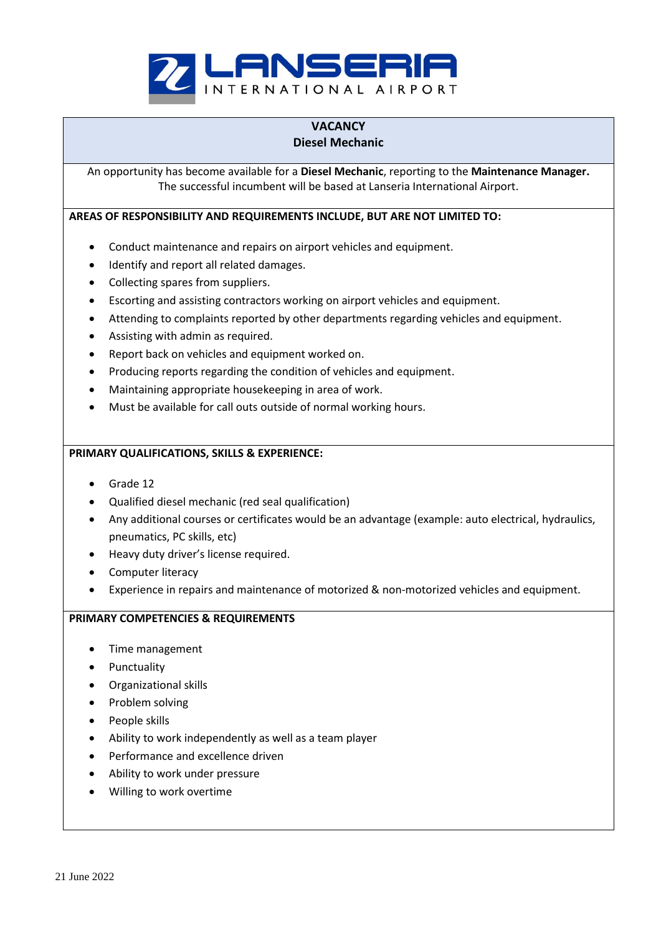

## **VACANCY Diesel Mechanic**

An opportunity has become available for a **Diesel Mechanic**, reporting to the **Maintenance Manager.** The successful incumbent will be based at Lanseria International Airport.

**AREAS OF RESPONSIBILITY AND REQUIREMENTS INCLUDE, BUT ARE NOT LIMITED TO:**

- Conduct maintenance and repairs on airport vehicles and equipment.
- Identify and report all related damages.
- Collecting spares from suppliers.
- Escorting and assisting contractors working on airport vehicles and equipment.
- Attending to complaints reported by other departments regarding vehicles and equipment.
- Assisting with admin as required.
- Report back on vehicles and equipment worked on.
- Producing reports regarding the condition of vehicles and equipment.
- Maintaining appropriate housekeeping in area of work.
- Must be available for call outs outside of normal working hours.

## **PRIMARY QUALIFICATIONS, SKILLS & EXPERIENCE:**

- Grade 12
- Qualified diesel mechanic (red seal qualification)
- Any additional courses or certificates would be an advantage (example: auto electrical, hydraulics, pneumatics, PC skills, etc)
- Heavy duty driver's license required.
- Computer literacy
- Experience in repairs and maintenance of motorized & non-motorized vehicles and equipment.

## **PRIMARY COMPETENCIES & REQUIREMENTS**

- Time management
- Punctuality
- Organizational skills
- Problem solving
- People skills
- Ability to work independently as well as a team player
- Performance and excellence driven
- Ability to work under pressure
- Willing to work overtime